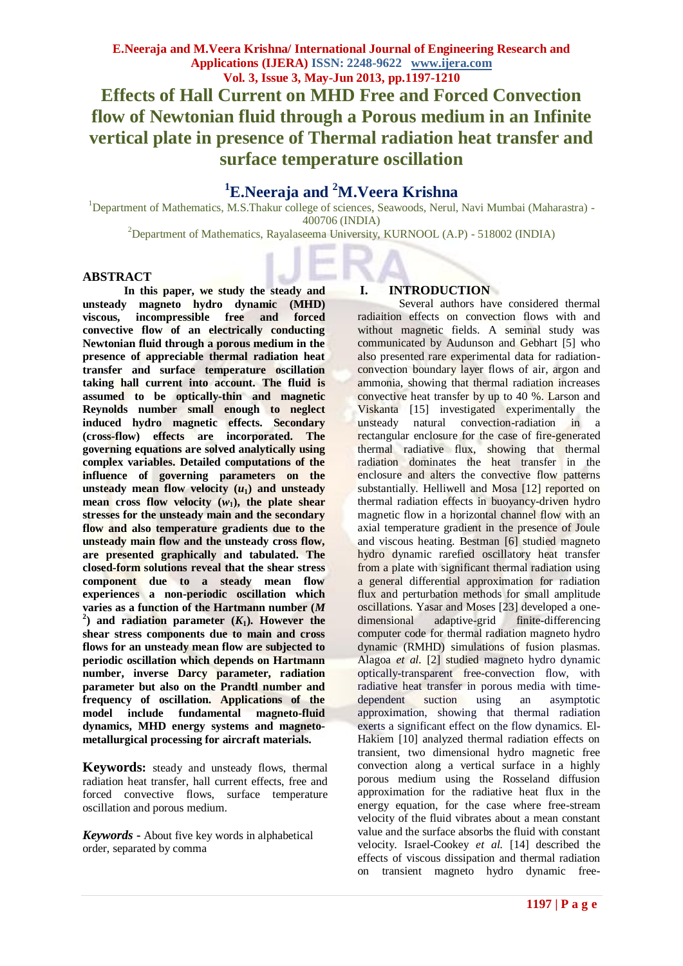# **<sup>1</sup>E.Neeraja and <sup>2</sup>M.Veera Krishna**

<sup>1</sup>Department of Mathematics, M.S.Thakur college of sciences, Seawoods, Nerul, Navi Mumbai (Maharastra) -400706 (INDIA)

<sup>2</sup>Department of Mathematics, Rayalaseema University, KURNOOL (A.P) - 518002 (INDIA)

# **ABSTRACT**

**In this paper, we study the steady and unsteady magneto hydro dynamic (MHD) viscous, incompressible free and forced convective flow of an electrically conducting Newtonian fluid through a porous medium in the presence of appreciable thermal radiation heat transfer and surface temperature oscillation taking hall current into account. The fluid is assumed to be optically-thin and magnetic Reynolds number small enough to neglect induced hydro magnetic effects. Secondary (cross-flow) effects are incorporated. The governing equations are solved analytically using complex variables. Detailed computations of the influence of governing parameters on the**  unsteady mean flow velocity  $(u_1)$  and unsteady **mean** cross flow velocity  $(w_1)$ , the plate shear **stresses for the unsteady main and the secondary flow and also temperature gradients due to the unsteady main flow and the unsteady cross flow, are presented graphically and tabulated. The closed-form solutions reveal that the shear stress component due to a steady mean flow experiences a non-periodic oscillation which varies as a function of the Hartmann number (***M*   $2$ ) and radiation parameter  $(K_1)$ . However the **shear stress components due to main and cross flows for an unsteady mean flow are subjected to periodic oscillation which depends on Hartmann number, inverse Darcy parameter, radiation parameter but also on the Prandtl number and frequency of oscillation. Applications of the model include fundamental magneto-fluid dynamics, MHD energy systems and magnetometallurgical processing for aircraft materials.**

**Keywords:** steady and unsteady flows, thermal radiation heat transfer, hall current effects, free and forced convective flows, surface temperature oscillation and porous medium.

*Keywords* **-** About five key words in alphabetical order, separated by comma

# **I. INTRODUCTION**

Several authors have considered thermal radiaition effects on convection flows with and without magnetic fields. A seminal study was communicated by Audunson and Gebhart [5] who also presented rare experimental data for radiationconvection boundary layer flows of air, argon and ammonia, showing that thermal radiation increases convective heat transfer by up to 40 %. Larson and Viskanta [15] investigated experimentally the unsteady natural convection-radiation in a rectangular enclosure for the case of fire-generated thermal radiative flux, showing that thermal radiation dominates the heat transfer in the enclosure and alters the convective flow patterns substantially. Helliwell and Mosa [12] reported on thermal radiation effects in buoyancy-driven hydro magnetic flow in a horizontal channel flow with an axial temperature gradient in the presence of Joule and viscous heating. Bestman [6] studied magneto hydro dynamic rarefied oscillatory heat transfer from a plate with significant thermal radiation using a general differential approximation for radiation flux and perturbation methods for small amplitude oscillations. Yasar and Moses [23] developed a onedimensional adaptive-grid finite-differencing computer code for thermal radiation magneto hydro dynamic (RMHD) simulations of fusion plasmas. Alagoa *et al.* [2] studied magneto hydro dynamic optically-transparent free-convection flow, with radiative heat transfer in porous media with timedependent suction using an asymptotic approximation, showing that thermal radiation exerts a significant effect on the flow dynamics. El-Hakiem [10] analyzed thermal radiation effects on transient, two dimensional hydro magnetic free convection along a vertical surface in a highly porous medium using the Rosseland diffusion approximation for the radiative heat flux in the energy equation, for the case where free-stream velocity of the fluid vibrates about a mean constant value and the surface absorbs the fluid with constant velocity. Israel-Cookey *et al.* [14] described the effects of viscous dissipation and thermal radiation on transient magneto hydro dynamic free-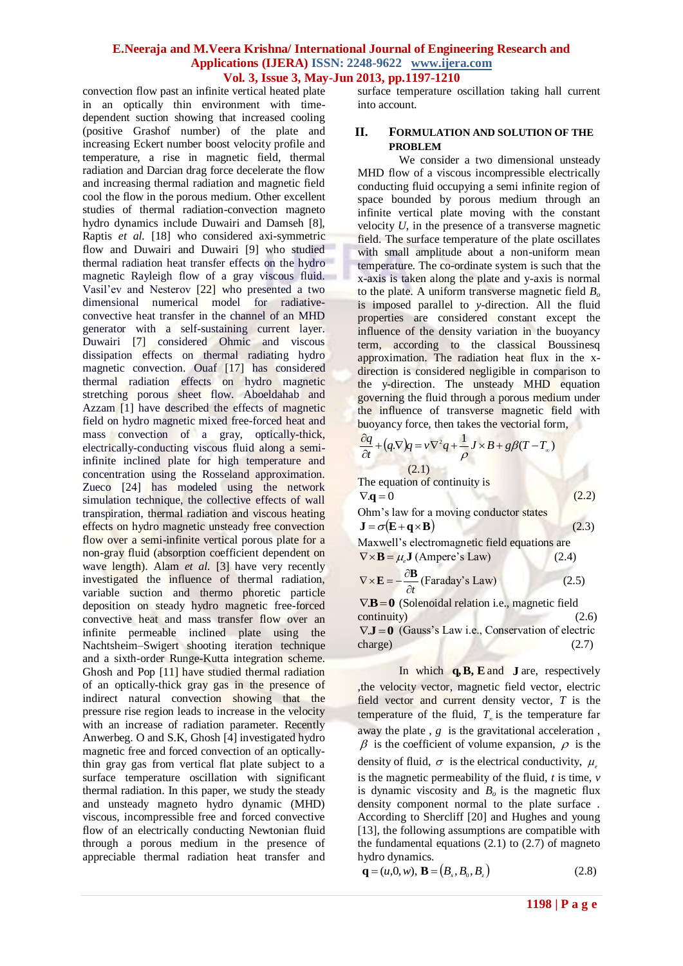convection flow past an infinite vertical heated plate in an optically thin environment with timedependent suction showing that increased cooling (positive Grashof number) of the plate and increasing Eckert number boost velocity profile and temperature, a rise in magnetic field, thermal radiation and Darcian drag force decelerate the flow and increasing thermal radiation and magnetic field cool the flow in the porous medium. Other excellent studies of thermal radiation-convection magneto hydro dynamics include Duwairi and Damseh [8], Raptis *et al.* [18] who considered axi-symmetric flow and Duwairi and Duwairi [9] who studied thermal radiation heat transfer effects on the hydro magnetic Rayleigh flow of a gray viscous fluid. Vasil'ev and Nesterov [22] who presented a two dimensional numerical model for radiativeconvective heat transfer in the channel of an MHD generator with a self-sustaining current layer. Duwairi [7] considered Ohmic and viscous dissipation effects on thermal radiating hydro magnetic convection. Ouaf [17] has considered thermal radiation effects on hydro magnetic stretching porous sheet flow. Aboeldahab and Azzam [1] have described the effects of magnetic field on hydro magnetic mixed free-forced heat and mass convection of a gray, optically-thick, electrically-conducting viscous fluid along a semiinfinite inclined plate for high temperature and concentration using the Rosseland approximation. Zueco [24] has modeled using the network simulation technique, the collective effects of wall transpiration, thermal radiation and viscous heating effects on hydro magnetic unsteady free convection flow over a semi-infinite vertical porous plate for a non-gray fluid (absorption coefficient dependent on wave length). Alam *et al.* [3] have very recently investigated the influence of thermal radiation, variable suction and thermo phoretic particle deposition on steady hydro magnetic free-forced convective heat and mass transfer flow over an infinite permeable inclined plate using the Nachtsheim–Swigert shooting iteration technique and a sixth-order Runge-Kutta integration scheme. Ghosh and Pop [11] have studied thermal radiation of an optically-thick gray gas in the presence of indirect natural convection showing that the pressure rise region leads to increase in the velocity with an increase of radiation parameter. Recently Anwerbeg. O and S.K, Ghosh [4] investigated hydro magnetic free and forced convection of an opticallythin gray gas from vertical flat plate subject to a surface temperature oscillation with significant thermal radiation. In this paper, we study the steady and unsteady magneto hydro dynamic (MHD) viscous, incompressible free and forced convective flow of an electrically conducting Newtonian fluid through a porous medium in the presence of appreciable thermal radiation heat transfer and

surface temperature oscillation taking hall current into account.

### **II. FORMULATION AND SOLUTION OF THE PROBLEM**

We consider a two dimensional unsteady MHD flow of a viscous incompressible electrically conducting fluid occupying a semi infinite region of space bounded by porous medium through an infinite vertical plate moving with the constant velocity *U*, in the presence of a transverse magnetic field. The surface temperature of the plate oscillates with small amplitude about a non-uniform mean temperature. The co-ordinate system is such that the x-axis is taken along the plate and y-axis is normal to the plate. A uniform transverse magnetic field *B<sup>o</sup>* is imposed parallel to *y*-direction. All the fluid properties are considered constant except the influence of the density variation in the buoyancy term, according to the classical Boussinesq approximation. The radiation heat flux in the xdirection is considered negligible in comparison to the y-direction. The unsteady MHD equation governing the fluid through a porous medium under the influence of transverse magnetic field with buoyancy force, then takes the vectorial form,

$$
\frac{\partial q}{\partial t} + (q.\nabla)q = v \nabla^2 q + \frac{1}{\rho} J \times B + g\beta (T - T_a)
$$
\n(2.1)  
\nThe equation of continuity is  
\n
$$
\nabla \mathbf{q} = 0
$$
\n(2.2)

Ohm's law for a moving conductor states  $J = \sigma(E + \mathbf{q} \times \mathbf{B})$  (2.3)

Maxwell's electromagnetic field equations are  $\nabla \times \mathbf{B} = \mu_e \mathbf{J}$  (Ampere's Law) (2.4)

$$
\nabla \times \mathbf{E} = -\frac{\partial \mathbf{B}}{\partial t} \text{ (Faraday's Law)} \tag{2.5}
$$

 $\nabla \mathbf{B} = \mathbf{0}$  (Solenoidal relation i.e., magnetic field continuity) (2.6)  $\nabla \mathbf{J} = \mathbf{0}$  (Gauss's Law i.e., Conservation of electric  $charge)$  (2.7)

In which **q,B, E** and **J** are, respectively ,the velocity vector, magnetic field vector, electric field vector and current density vector, *T* is the temperature of the fluid,  $T_{\infty}$  is the temperature far away the plate , *g* is the gravitational acceleration ,  $\beta$  is the coefficient of volume expansion,  $\rho$  is the density of fluid,  $\sigma$  is the electrical conductivity,  $\mu_e$ is the magnetic permeability of the fluid, *t* is time, *v*  is dynamic viscosity and  $B_0$  is the magnetic flux density component normal to the plate surface . According to Shercliff [20] and Hughes and young [13], the following assumptions are compatible with the fundamental equations  $(2.1)$  to  $(2.7)$  of magneto hydro dynamics.

$$
\mathbf{q} = (u, 0, w), \mathbf{B} = (B_x, B_0, B_z) \tag{2.8}
$$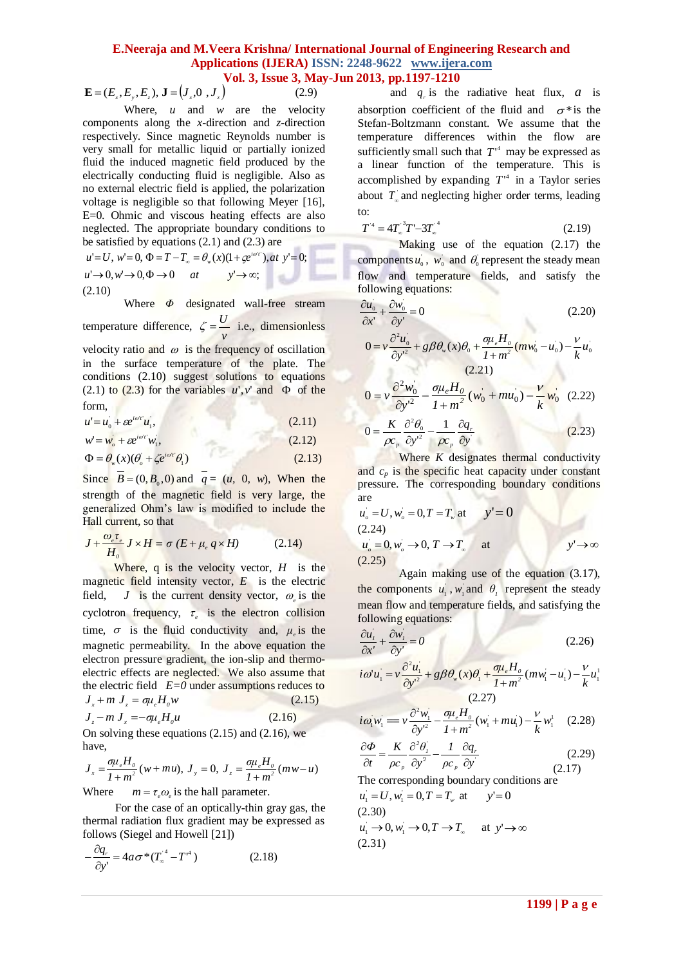$\mathbf{E} = (E_-, E_-, E_-), \mathbf{J} = (J_-, 0_-, J_-)$  (2.9)

Where,  $u$  and  $w$  are the velocity components along the *x*-direction and *z*-direction respectively. Since magnetic Reynolds number is very small for metallic liquid or partially ionized fluid the induced magnetic field produced by the electrically conducting fluid is negligible. Also as no external electric field is applied, the polarization voltage is negligible so that following Meyer [16], E=0. Ohmic and viscous heating effects are also neglected. The appropriate boundary conditions to be satisfied by equations (2.1) and (2.3) are

$$
u'=U, w'=0, \Phi = T - T_{\infty} = \theta_{w}(x)(1 + \varphi^{i\omega y}), at \ y'=0;
$$
  
\n
$$
u' \rightarrow 0, w' \rightarrow 0, \Phi \rightarrow 0 \quad at \qquad y' \rightarrow \infty;
$$
  
\n(2.10)

Where *Φ* designated wall-free stream temperature difference, *v*  $\zeta = \frac{U}{I}$  i.e., dimensionless

velocity ratio and  $\omega$  is the frequency of oscillation in the surface temperature of the plate. The conditions (2.10) suggest solutions to equations (2.1) to (2.3) for the variables  $u', v'$  and  $\Phi$  of the form,

$$
u = u_0 + \varepsilon e^{i\omega t} u_1,\tag{2.11}
$$

$$
w' = w_o + \varepsilon e^{i\omega r} w_i, \tag{2.12}
$$

$$
\Phi = \theta_w(x)(\theta_o + \zeta e^{i\omega t} \theta_1)
$$
\n(2.13)

Since  $B = (0, B_0, 0)$  and  $q = (u, 0, w)$ , When the strength of the magnetic field is very large, the generalized Ohm's law is modified to include the Hall current, so that

$$
J + \frac{\omega_e \tau_e}{H_o} J \times H = \sigma (E + \mu_e q \times H)
$$
 (2.14)

**1199 | P a g e** *x y z x z* Where, q is the velocity vector, *H* is the magnetic field intensity vector, *E* is the electric field, *J* is the current density vector,  $\omega_e$  is the cyclotron frequency,  $\tau_e$  is the electron collision time,  $\sigma$  is the fluid conductivity and,  $\mu_e$  is the magnetic permeability. In the above equation the electron pressure gradient, the ion-slip and thermoelectric effects are neglected. We also assume that the electric field  $E=0$  under assumptions reduces to  $J_x + m J_z = \sigma \mu_e$  $(2.15)$  $J_z - m J_x = -\sigma \mu_e$  $(2.16)$ 

On solving these equations (2.15) and (2.16), we have,

 $(w + mu), J_y = 0, J_z = \frac{\sigma \mu_e H_o}{1 + m^2} (mw - u)$ *σμ H*  $\frac{\sigma \mu_e H_o}{1 + m^2} (w + mu), J_y = 0, J$  $J_x = \frac{\sigma \mu_e H_o}{1 + m^2} (w + m u), J_y = 0, J_z = \frac{\sigma \mu_e H_o}{1 + m^2} (m w - u)$   $\hat{\partial}t = \rho c_p \hat{\partial}y^2 \rho c_p \hat{\partial}y$  (2.17)

Where  $m = \tau_e \omega_e$  is the hall parameter.

For the case of an optically-thin gray gas, the thermal radiation flux gradient may be expressed as follows (Siegel and Howell [21])

$$
-\frac{\partial q_r}{\partial y'} = 4a\sigma^*(T_\infty^{\prime^4} - T^{\prime^4})\tag{2.18}
$$

and  $q_r$  is the radiative heat flux,  $a$  is absorption coefficient of the fluid and  $\sigma^*$  is the Stefan-Boltzmann constant. We assume that the temperature differences within the flow are sufficiently small such that  $T^4$  may be expressed as a linear function of the temperature. This is accomplished by expanding  $T^4$  in a Taylor series about  $T_{\infty}$  and neglecting higher order terms, leading to:

$$
T^{'4} = 4T_{\infty}^{3}T' - 3T_{\infty}^{4}
$$
 (2.19)

Making use of the equation (2.17) the components  $u_0$ ,  $w_0$  and  $\theta_0$  represent the steady mean flow and temperature fields, and satisfy the following equations:

$$
\frac{\partial u_0}{\partial x'} + \frac{\partial w_0}{\partial y'} = 0 \tag{2.20}
$$

$$
0 = v \frac{\partial^2 u_0}{\partial y'^2} + g \beta \theta_w(x) \theta_0 + \frac{\sigma \mu_e H_0}{1 + m^2} (m w_0 - u_0) - \frac{v}{k} u_0
$$
  
(2.21)  

$$
0 = v \frac{\partial^2 w_0}{\partial y'^2} - \frac{\sigma \mu_e H_0}{1 + m^2} (w_0 + m u_0) - \frac{v}{k} w_0
$$
(2.22)  

$$
0 = \frac{K}{\rho c_p} \frac{\partial^2 \theta_0}{\partial y^2} - \frac{1}{\rho c_p} \frac{\partial q_r}{\partial y}
$$
(2.23)

Where *K* designates thermal conductivity and  $c_p$  is the specific heat capacity under constant pressure. The corresponding boundary conditions are

$$
u_o = U, w_o = 0, T = T_w \text{ at } y' = 0
$$
  
(2.24)  

$$
u_o = 0, w_o \rightarrow 0, T \rightarrow T_w \text{ at } y' \rightarrow \infty
$$
  
(2.25)

Again making use of the equation (3.17), the components  $u_1$ ,  $w_1$  and  $\theta_1$  represent the steady mean flow and temperature fields, and satisfying the following equations:

$$
\frac{\partial u_i}{\partial x'} + \frac{\partial w_i}{\partial y'} = 0 \tag{2.26}
$$

$$
\frac{\partial x}{\partial u} = v \frac{\partial^2 u_1}{\partial y'^2} + g \beta \theta_w(x) \theta_1' + \frac{\theta u_e H_o}{1 + m^2} (m w_1' - u_1') - \frac{v}{k} u_1'
$$
\n(2.27)

$$
i\omega_1'w_1' = v\frac{\partial^2 w_1'}{\partial y'^2} - \frac{\sigma\mu_e H_o}{I + m^2}(w_1' + m u_1') - \frac{v}{k}w_1^1 \quad (2.28)
$$

$$
\frac{\partial \Phi}{\partial t} = \frac{K}{\rho c_p} \frac{\partial^2 \theta'_l}{\partial y^2} - \frac{1}{\rho c_p} \frac{\partial q_r}{\partial y'}
$$
 (2.29)

The corresponding boundary conditions are  $u_1 = U, w_1 = 0, T = T_w$  at  $y' = 0$ (2.30)  $u_1 \rightarrow 0, w_1 \rightarrow 0, T \rightarrow T_\infty$  at  $y' \rightarrow \infty$ 

$$
(2.31)
$$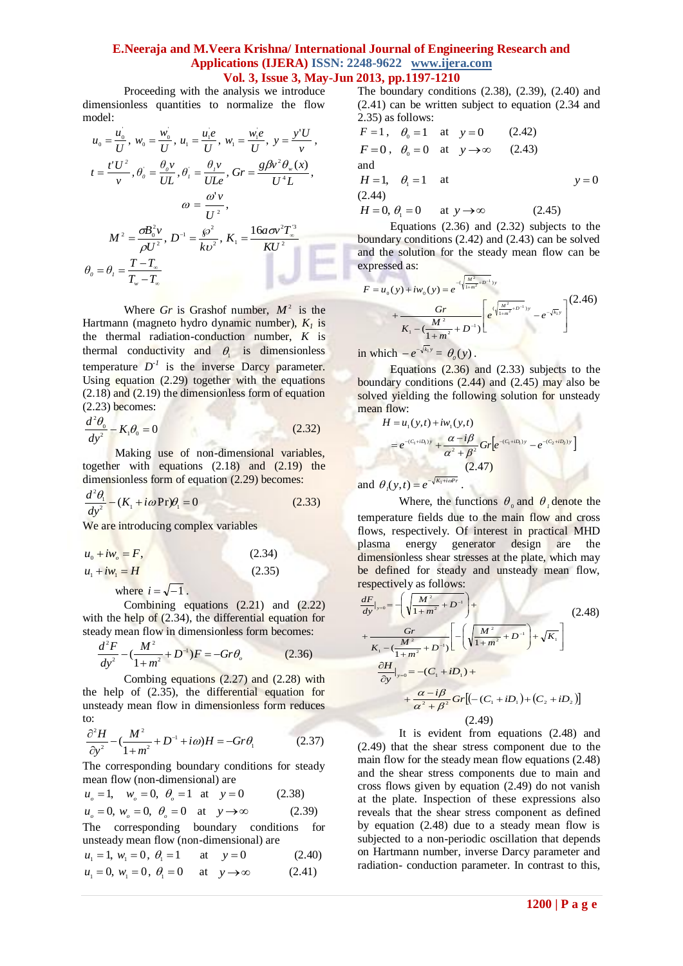Proceeding with the analysis we introduce dimensionless quantities to normalize the flow model:

$$
u_0 = \frac{u_0}{U}, \ w_0 = \frac{w_0}{U}, \ u_1 = \frac{u_1 e}{U}, \ w_1 = \frac{w_1 e}{U}, \ y = \frac{y'U}{v},
$$
  

$$
t = \frac{t'U^2}{v}, \ \theta_0 = \frac{\theta_0 v}{UL}, \ \theta_1 = \frac{\theta_1 v}{ULe}, \ \ Gr = \frac{g\beta v^2 \theta_w(x)}{U^4 L},
$$
  

$$
\omega = \frac{\omega^2 v}{U^2},
$$
  

$$
M^2 = \frac{\sigma B_0^2 v}{\sigma U^2}, \ D^{-1} = \frac{\beta^2}{U^2}, \ K_1 = \frac{16a\sigma v^2 T_w^3}{kU^2}
$$

$$
\rho U^{2} = kv^{2} = 1
$$
  
\n
$$
\theta_{0} = \theta_{1} = \frac{T - T_{\infty}}{T_{w} - T_{\infty}}
$$

Where *Gr* is Grashof number,  $M^2$  is the Hartmann (magneto hydro dynamic number),  $K_l$  is the thermal radiation-conduction number, *K* is thermal conductivity and  $\theta_i$  is dimensionless temperature  $D^{-1}$  is the inverse Darcy parameter. Using equation  $(2.29)$  together with the equations (2.18) and (2.19) the dimensionless form of equation  $(2.23)$  becomes:

$$
\frac{d^2\theta_0}{dy^2} - K_1\theta_0 = 0\tag{2.32}
$$

Making use of non-dimensional variables, together with equations (2.18) and (2.19) the dimensionless form of equation (2.29) becomes:

$$
\frac{d^2\theta_1}{dy^2} - (K_1 + i\omega \Pr) \theta_1 = 0
$$
\n(2.33)

We are introducing complex variables

$$
u_0 + iw_\rho = F,
$$
 (2.34)  

$$
u_1 + iw_1 = H
$$
 (2.35)

where  $i = \sqrt{-1}$ .

Combining equations (2.21) and (2.22) with the help of (2.34), the differential equation for steady mean flow in dimensionless form becomes:

$$
\frac{d^2F}{dy^2} - \left(\frac{M^2}{1+m^2} + D^{-1}\right)F = -Gr\theta_o \tag{2.36}
$$

Combing equations (2.27) and (2.28) with the help of (2.35), the differential equation for unsteady mean flow in dimensionless form reduces to:

$$
\frac{\partial^2 H}{\partial y^2} - \left(\frac{M^2}{1+m^2} + D^{-1} + i\omega\right)H = -Gr\theta_1\tag{2.37}
$$

The corresponding boundary conditions for steady mean flow (non-dimensional) are

 $u<sub>o</sub> = 1$ ,  $w<sub>o</sub> = 0$ ,  $\theta<sub>o</sub> = 1$  at  $y = 0$  (2.38)  $u_o = 0, w_o = 0, \ \theta_o = 0 \text{ at } y \to \infty$  (2.39)

The corresponding boundary conditions for unsteady mean flow (non-dimensional) are

 $u_1 = 1, w_1 = 0, \theta_1 = 1$  at at  $y = 0$  (2.40)

$$
u_1 = 0
$$
,  $w_1 = 0$ ,  $\theta_1 = 0$  at  $y \to \infty$  (2.41)

The boundary conditions  $(2.38)$ ,  $(2.39)$ ,  $(2.40)$  and (2.41) can be written subject to equation (2.34 and 2.35) as follows:

$$
F = 1
$$
,  $\theta_0 = 1$  at  $y = 0$  (2.42)  
\n $F = 0$ ,  $\theta_0 = 0$  at  $y \to \infty$  (2.43)  
\nand  
\n $H = 1$ ,  $\theta_1 = 1$  at  $y \to 0$   
\n(2.44)  
\n $H = 0$ ,  $\theta_1 = 0$  at  $y \to \infty$  (2.45)

Equations (2.36) and (2.32) subjects to the boundary conditions (2.42) and (2.43) can be solved and the solution for the steady mean flow can be expressed as:

$$
F = u_0(y) + iw_0(y) = e^{-(\sqrt{\frac{M^2}{1+m^2} + D^{-1}})y} + \frac{Gr}{K_1 - (\frac{M^2}{1+m^2} + D^{-1})} \left[ e^{(\sqrt{\frac{M^2}{1+m^2} + D^{-1}})y} - e^{-\sqrt{k_1}y} \right]^{(2.46)}
$$

in which  $-e^{-\sqrt{k_1}y} = \theta_0(y)$ .

Equations  $(2.36)$  and  $(2.33)$  subjects to the boundary conditions  $(2.44)$  and  $(2.45)$  may also be solved yielding the following solution for unsteady mean flow:

$$
H = u_1(y,t) + iw_1(y,t)
$$
  
=  $e^{-(C_1+iD_1)y} + \frac{\alpha - i\beta}{\alpha^2 + \beta^2} Gr[e^{-(C_1+iD_1)y} - e^{-(C_2+iD_2)y}]$   
(2.47)

and  $\theta_i(y,t) = e^{-\sqrt{K_1 + i\omega P}t}$ . 1

Where, the functions  $\theta_0$  and  $\theta_1$  denote the temperature fields due to the main flow and cross flows, respectively. Of interest in practical MHD plasma energy generator design are the dimensionless shear stresses at the plate, which may be defined for steady and unsteady mean flow, respectively as follows:

$$
\frac{dF}{dy}|_{y=0} = -\left(\sqrt{\frac{M^2}{1+m^2} + D^{-1}}\right) +
$$
\n
$$
+\frac{Gr}{K_1 - (\frac{M^2}{1+m^2} + D^{-1})} \left[ -\left(\sqrt{\frac{M^2}{1+m^2} + D^{-1}}\right) + \sqrt{K_1} \right]
$$
\n
$$
\frac{\partial H}{\partial y}|_{y=0} = -(C_1 + iD_1) +
$$
\n
$$
+\frac{\alpha - i\beta}{\alpha^2 + \beta^2} Gr\left[ (- (C_1 + iD_1) + (C_2 + iD_2) \right]
$$
\n(2.49)

It is evident from equations (2.48) and (2.49) that the shear stress component due to the main flow for the steady mean flow equations (2.48) and the shear stress components due to main and cross flows given by equation (2.49) do not vanish at the plate. Inspection of these expressions also reveals that the shear stress component as defined by equation (2.48) due to a steady mean flow is subjected to a non-periodic oscillation that depends on Hartmann number, inverse Darcy parameter and radiation- conduction parameter. In contrast to this,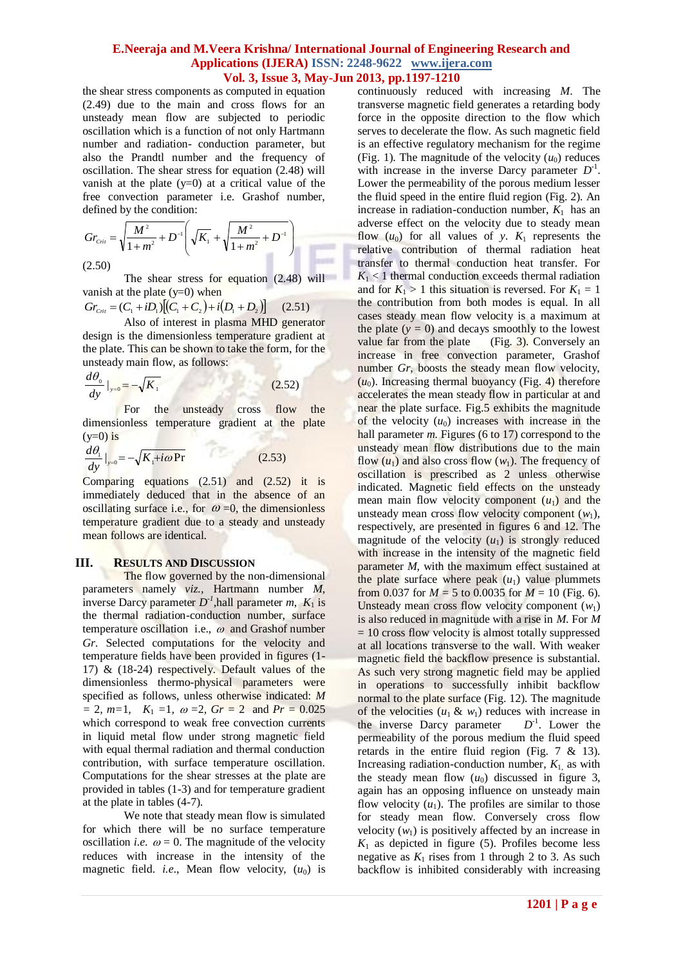the shear stress components as computed in equation (2.49) due to the main and cross flows for an unsteady mean flow are subjected to periodic oscillation which is a function of not only Hartmann number and radiation- conduction parameter, but also the Prandtl number and the frequency of oscillation. The shear stress for equation (2.48) will vanish at the plate  $(v=0)$  at a critical value of the free convection parameter i.e. Grashof number, defined by the condition:

$$
Gr_{Cni} = \sqrt{\frac{M^2}{1+m^2} + D^{-1}} \left( \sqrt{K_1} + \sqrt{\frac{M^2}{1+m^2} + D^{-1}} \right)
$$
\n(2.50)

The shear stress for equation (2.48) will vanish at the plate  $(y=0)$  when

$$
Gr_{\text{Cni}} = (C_1 + iD_1)[(C_1 + C_2) + i(D_1 + D_2)] \tag{2.51}
$$

Also of interest in plasma MHD generator design is the dimensionless temperature gradient at the plate. This can be shown to take the form, for the unsteady main flow, as follows:

$$
\frac{d\theta_0}{dy}\big|_{y=0} = -\sqrt{K_1} \tag{2.52}
$$

For the unsteady cross flow the dimensionless temperature gradient at the plate  $(y=0)$  is

$$
\frac{d\theta_1}{dy}\Big|_{y=0} = -\sqrt{K_1 + i\omega \Pr} \tag{2.53}
$$

Comparing equations (2.51) and (2.52) it is immediately deduced that in the absence of an oscillating surface i.e., for  $\omega = 0$ , the dimensionless temperature gradient due to a steady and unsteady mean follows are identical.

#### **III. RESULTS AND DISCUSSION**

The flow governed by the non-dimensional parameters namely *viz.,* Hartmann number *M*, inverse Darcy parameter  $D^{-1}$ , hall parameter *m*,  $K_1$  is the thermal radiation-conduction number, surface temperature oscillation i.e.,  $\omega$  and Grashof number *Gr*. Selected computations for the velocity and temperature fields have been provided in figures (1- 17) & (18-24) respectively. Default values of the dimensionless thermo-physical parameters were specified as follows, unless otherwise indicated: *M*   $= 2, m=1, K_1 = 1, \omega = 2, Gr = 2 \text{ and } Pr = 0.025$ which correspond to weak free convection currents in liquid metal flow under strong magnetic field with equal thermal radiation and thermal conduction contribution, with surface temperature oscillation. Computations for the shear stresses at the plate are provided in tables (1-3) and for temperature gradient at the plate in tables (4-7).

We note that steady mean flow is simulated for which there will be no surface temperature oscillation *i.e.*  $\omega = 0$ . The magnitude of the velocity reduces with increase in the intensity of the magnetic field. *i.e.*, Mean flow velocity,  $(u_0)$  is

continuously reduced with increasing *M*. The transverse magnetic field generates a retarding body force in the opposite direction to the flow which serves to decelerate the flow. As such magnetic field is an effective regulatory mechanism for the regime (Fig. 1). The magnitude of the velocity  $(u_0)$  reduces with increase in the inverse Darcy parameter  $D^{-1}$ . Lower the permeability of the porous medium lesser the fluid speed in the entire fluid region (Fig. 2). An increase in radiation-conduction number,  $K_1$  has an adverse effect on the velocity due to steady mean flow  $(u_0)$  for all values of *y*.  $K_1$  represents the relative contribution of thermal radiation heat transfer to thermal conduction heat transfer. For  $K_1$  < 1 thermal conduction exceeds thermal radiation and for  $K_1 > 1$  this situation is reversed. For  $K_1 = 1$ the contribution from both modes is equal. In all cases steady mean flow velocity is a maximum at the plate  $(y = 0)$  and decays smoothly to the lowest value far from the plate  $(Fig. 3)$ . Conversely an increase in free convection parameter, Grashof number *Gr*, boosts the steady mean flow velocity,  $(u_0)$ . Increasing thermal buoyancy (Fig. 4) therefore accelerates the mean steady flow in particular at and near the plate surface. Fig.5 exhibits the magnitude of the velocity  $(u_0)$  increases with increase in the hall parameter *m.* Figures (6 to 17) correspond to the unsteady mean flow distributions due to the main flow  $(u_1)$  and also cross flow  $(w_1)$ . The frequency of oscillation is prescribed as 2 unless otherwise indicated. Magnetic field effects on the unsteady mean main flow velocity component  $(u_1)$  and the unsteady mean cross flow velocity component  $(w_1)$ , respectively, are presented in figures 6 and 12. The magnitude of the velocity  $(u_1)$  is strongly reduced with increase in the intensity of the magnetic field parameter *M*, with the maximum effect sustained at the plate surface where peak  $(u_1)$  value plummets from 0.037 for  $M = 5$  to 0.0035 for  $M = 10$  (Fig. 6). Unsteady mean cross flow velocity component  $(w_1)$ is also reduced in magnitude with a rise in *M*. For *M*  = 10 cross flow velocity is almost totally suppressed at all locations transverse to the wall. With weaker magnetic field the backflow presence is substantial. As such very strong magnetic field may be applied in operations to successfully inhibit backflow normal to the plate surface (Fig. 12). The magnitude of the velocities  $(u_1 \& w_1)$  reduces with increase in the inverse Darcy parameter  $\mathbf{L}^{-1}$ . Lower the permeability of the porous medium the fluid speed retards in the entire fluid region (Fig. 7 & 13). Increasing radiation-conduction number,  $K_1$  as with the steady mean flow  $(u_0)$  discussed in figure 3, again has an opposing influence on unsteady main flow velocity  $(u_1)$ . The profiles are similar to those for steady mean flow. Conversely cross flow velocity  $(w_1)$  is positively affected by an increase in  $K_1$  as depicted in figure (5). Profiles become less negative as  $K_1$  rises from 1 through 2 to 3. As such backflow is inhibited considerably with increasing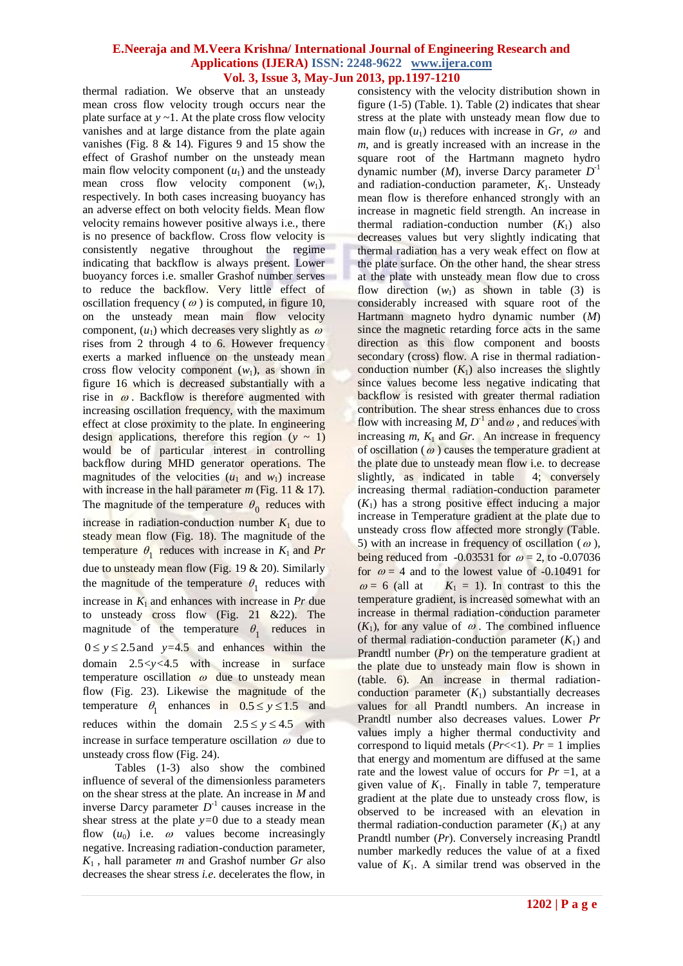thermal radiation. We observe that an unsteady mean cross flow velocity trough occurs near the plate surface at *y ~*1. At the plate cross flow velocity vanishes and at large distance from the plate again vanishes (Fig. 8 & 14). Figures 9 and 15 show the effect of Grashof number on the unsteady mean main flow velocity component  $(u_1)$  and the unsteady mean cross flow velocity component (*w*1), respectively. In both cases increasing buoyancy has an adverse effect on both velocity fields. Mean flow velocity remains however positive always i.e., there is no presence of backflow. Cross flow velocity is consistently negative throughout the regime indicating that backflow is always present. Lower buoyancy forces i.e. smaller Grashof number serves to reduce the backflow. Very little effect of oscillation frequency ( $\omega$ ) is computed, in figure 10, on the unsteady mean main flow velocity component,  $(u_1)$  which decreases very slightly as  $\omega$ rises from 2 through 4 to 6. However frequency exerts a marked influence on the unsteady mean cross flow velocity component  $(w_1)$ , as shown in figure 16 which is decreased substantially with a rise in  $\omega$ . Backflow is therefore augmented with increasing oscillation frequency, with the maximum effect at close proximity to the plate. In engineering design applications, therefore this region  $(y \sim 1)$ would be of particular interest in controlling backflow during MHD generator operations. The magnitudes of the velocities  $(u_1 \text{ and } w_1)$  increase with increase in the hall parameter *m* (Fig. 11 & 17). The magnitude of the temperature  $\theta_0$  reduces with increase in radiation-conduction number  $K_1$  due to steady mean flow (Fig. 18). The magnitude of the temperature  $\theta_1$  reduces with increase in  $K_1$  and Pr due to unsteady mean flow (Fig. 19 & 20). Similarly the magnitude of the temperature  $\theta_1$  reduces with increase in  $K_1$  and enhances with increase in  $Pr$  due to unsteady cross flow (Fig. 21 &22). The magnitude of the temperature  $\theta_1$  reduces in  $0 \le y \le 2.5$  and  $y=4.5$  and enhances within the domain 2.5*<y<*4.5 with increase in surface temperature oscillation  $\omega$  due to unsteady mean flow (Fig. 23). Likewise the magnitude of the temperature  $\theta_1$  enhances in  $0.5 \le y \le 1.5$  and reduces within the domain  $2.5 \le y \le 4.5$  with increase in surface temperature oscillation  $\omega$  due to unsteady cross flow (Fig. 24).

Tables (1-3) also show the combined influence of several of the dimensionless parameters on the shear stress at the plate. An increase in *M* and inverse Darcy parameter  $D^{-1}$  causes increase in the shear stress at the plate *y=*0 due to a steady mean flow  $(u_0)$  i.e.  $\omega$  values become increasingly negative. Increasing radiation-conduction parameter,  $K_1$ , hall parameter *m* and Grashof number *Gr* also decreases the shear stress *i.e*. decelerates the flow, in consistency with the velocity distribution shown in figure (1-5) (Table. 1). Table (2) indicates that shear stress at the plate with unsteady mean flow due to main flow  $(u_1)$  reduces with increase in  $Gr$ ,  $\omega$  and *m*, and is greatly increased with an increase in the square root of the Hartmann magneto hydro dynamic number (*M*), inverse Darcy parameter  $D^{-1}$ and radiation-conduction parameter,  $K_1$ . Unsteady mean flow is therefore enhanced strongly with an increase in magnetic field strength. An increase in thermal radiation-conduction number  $(K_1)$  also decreases values but very slightly indicating that thermal radiation has a very weak effect on flow at the plate surface. On the other hand, the shear stress at the plate with unsteady mean flow due to cross flow direction  $(w_1)$  as shown in table (3) is considerably increased with square root of the Hartmann magneto hydro dynamic number (*M*) since the magnetic retarding force acts in the same direction as this flow component and boosts secondary (cross) flow. A rise in thermal radiationconduction number  $(K_1)$  also increases the slightly since values become less negative indicating that backflow is resisted with greater thermal radiation contribution. The shear stress enhances due to cross flow with increasing *M*,  $D^{-1}$  and  $\omega$ , and reduces with increasing *m, K*<sup>1</sup> and *Gr*.An increase in frequency of oscillation ( $\omega$ ) causes the temperature gradient at the plate due to unsteady mean flow i.e. to decrease slightly, as indicated in table 4; conversely increasing thermal radiation-conduction parameter  $(K_1)$  has a strong positive effect inducing a major increase in Temperature gradient at the plate due to unsteady cross flow affected more strongly (Table. 5) with an increase in frequency of oscillation ( $\omega$ ), being reduced from -0.03531 for  $\omega = 2$ , to -0.07036 for  $\omega = 4$  and to the lowest value of -0.10491 for  $\omega = 6$  (all at  $K_1 = 1$ ). In contrast to this the temperature gradient, is increased somewhat with an increase in thermal radiation-conduction parameter  $(K_1)$ , for any value of  $\omega$ . The combined influence of thermal radiation-conduction parameter  $(K_1)$  and Prandtl number (*Pr*) on the temperature gradient at the plate due to unsteady main flow is shown in (table. 6). An increase in thermal radiationconduction parameter  $(K_1)$  substantially decreases values for all Prandtl numbers. An increase in Prandtl number also decreases values. Lower *Pr*  values imply a higher thermal conductivity and correspond to liquid metals ( $Pr \leq 1$ ).  $Pr = 1$  implies that energy and momentum are diffused at the same rate and the lowest value of occurs for  $Pr = 1$ , at a given value of  $K_1$ . Finally in table 7, temperature gradient at the plate due to unsteady cross flow, is observed to be increased with an elevation in thermal radiation-conduction parameter  $(K_1)$  at any Prandtl number (*Pr*). Conversely increasing Prandtl number markedly reduces the value of at a fixed value of  $K_1$ . A similar trend was observed in the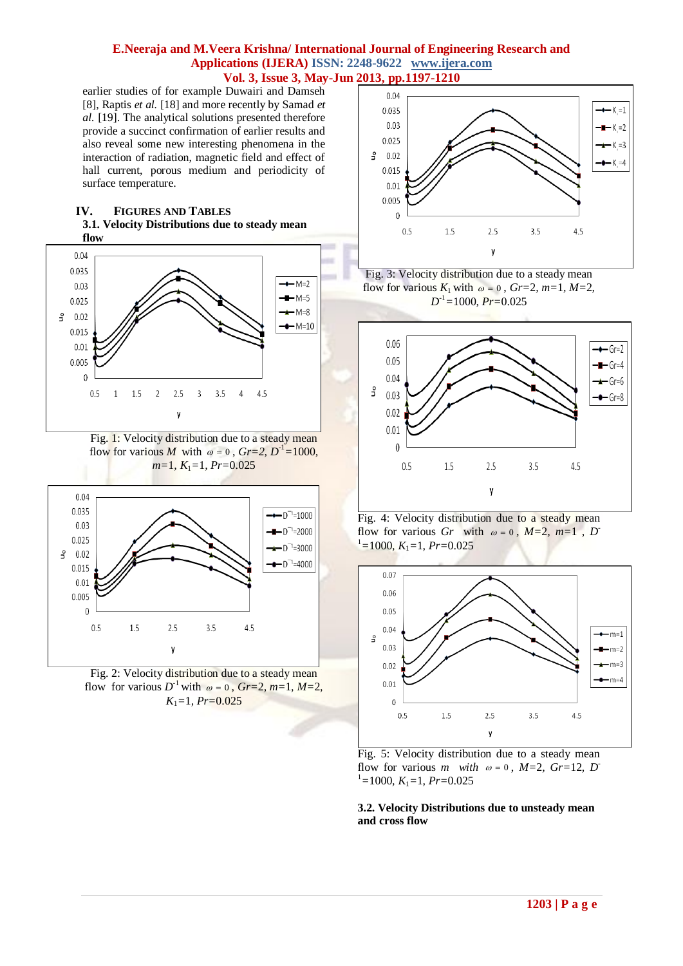earlier studies of for example Duwairi and Damseh [8], Raptis *et al.* [18] and more recently by Samad *et al.* [19]. The analytical solutions presented therefore provide a succinct confirmation of earlier results and also reveal some new interesting phenomena in the interaction of radiation, magnetic field and effect of hall current, porous medium and periodicity of surface temperature.

#### **IV. FIGURES AND TABLES 3.1. Velocity Distributions due to steady mean flow**



Fig. 1: Velocity distribution due to a steady mean flow for various *M* with  $\omega = 0$ ,  $Gr=2$ ,  $D^{-1}=1000$ , *m=*1*, K*1*=*1*, Pr=*0.025



Fig. 2: Velocity distribution due to a steady mean flow for various  $D^{-1}$  with  $\omega = 0$ ,  $Gr=2$ ,  $m=1$ ,  $M=2$ , *K*1*=*1*, Pr=*0.025



Fig. 3: Velocity distribution due to a steady mean flow for various  $K_1$  with  $\omega = 0$ ,  $Gr=2$ ,  $m=1$ ,  $M=2$ , *D* -1*=*1000*, Pr=*0.025



Fig. 4: Velocity distribution due to a steady mean flow for various *Gr* with  $\omega = 0$ , *M*=2, *m*=1, *D*  $I^1$ =1000*, K*<sub>1</sub>=1*, Pr*=0.025



Fig. 5: Velocity distribution due to a steady mean flow for various *m* with  $\omega = 0$ ,  $M=2$ ,  $Gr=12$ ,  $D^{-}$  $I=1000$ ,  $K_1=1$ ,  $Pr=0.025$ 

**3.2. Velocity Distributions due to unsteady mean and cross flow**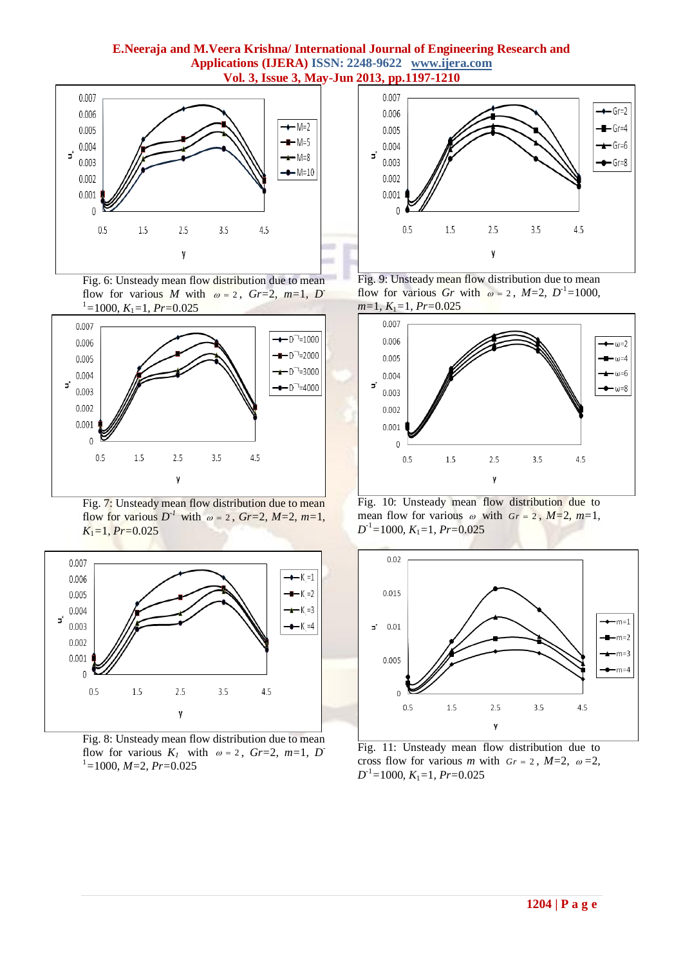

Fig. 6: Unsteady mean flow distribution due to mean flow for various *M* with  $\omega = 2$ , *Gr*=2, *m*=1, *D*  $I^1$ =1000*, K*<sub>1</sub>=1*, Pr*=0.025



Fig. 7: Unsteady mean flow distribution due to mean flow for various  $D^{-1}$  with  $\omega = 2$ ,  $Gr=2$ ,  $M=2$ ,  $m=1$ , *K*1*=*1*, Pr=*0.025



Fig. 8: Unsteady mean flow distribution due to mean flow for various  $K_1$  with  $\omega = 2$ ,  $Gr=2$ ,  $m=1$ ,  $D^-$ <sup>1</sup>*=*1000*, M=*2*, Pr=*0.025



Fig. 9: Unsteady mean flow distribution due to mean flow for various *Gr* with  $\omega = 2$ ,  $M=2$ ,  $D^{-1}=1000$ , *m=*1*, K*1*=*1*, Pr=*0.025



Fig. 10: Unsteady mean flow distribution due to mean flow for various  $\omega$  with  $Gr = 2$ ,  $M=2$ ,  $m=1$ , *D* -1*=*1000*, K*1*=*1*, Pr=*0.025



Fig. 11: Unsteady mean flow distribution due to cross flow for various *m* with  $Gr = 2$ ,  $M=2$ ,  $\omega = 2$ , *D* -1*=*1000*, K*1*=*1*, Pr=*0.025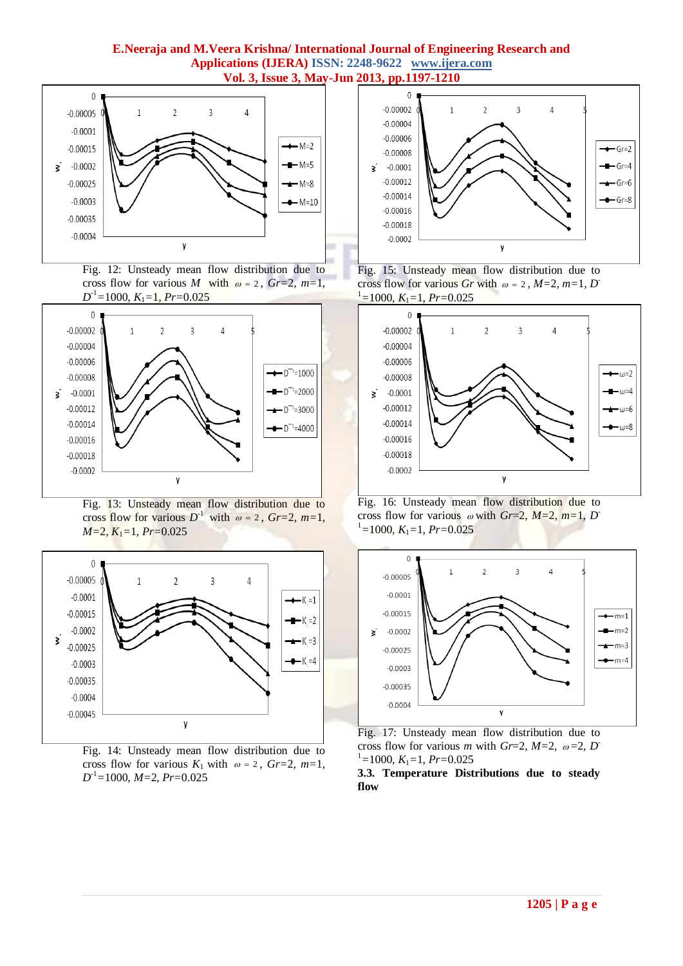

Fig. 12: Unsteady mean flow distribution due to cross flow for various *M* with  $\omega = 2$ ,  $Gr=2$ ,  $m=1$ , *D* -1*=*1000*, K*1*=*1*, Pr=*0.025



Fig. 13: Unsteady mean flow distribution due to cross flow for various  $D^{-1}$  with  $\omega = 2$ ,  $Gr=2$ ,  $m=1$ , *M=*2*, K*1*=*1*, Pr=*0.025



Fig. 14: Unsteady mean flow distribution due to cross flow for various  $K_1$  with  $\omega = 2$ ,  $Gr=2$ ,  $m=1$ , *D* -1*=*1000*, M=*2*, Pr=*0.025



Fig. 15: Unsteady mean flow distribution due to cross flow for various *Gr* with  $\omega = 2$ , *M*=2, *m*=1, *D*  $I^1$ =1000*, K*<sub>1</sub>=1*, Pr*=0.025



Fig. 16: Unsteady mean flow distribution due to cross flow for various  $\omega$  with *Gr*=2, *M*=2, *m*=1, *D*  $I=1000$ ,  $K_1=1$ ,  $Pr=0.025$ 



Fig. 17: Unsteady mean flow distribution due to cross flow for various *m* with  $Gr=2$ ,  $M=2$ ,  $\omega=2$ ,  $D^{-}$  $I^1=1000$ ,  $K_1=1$ ,  $Pr=0.025$ 

**3.3. Temperature Distributions due to steady flow**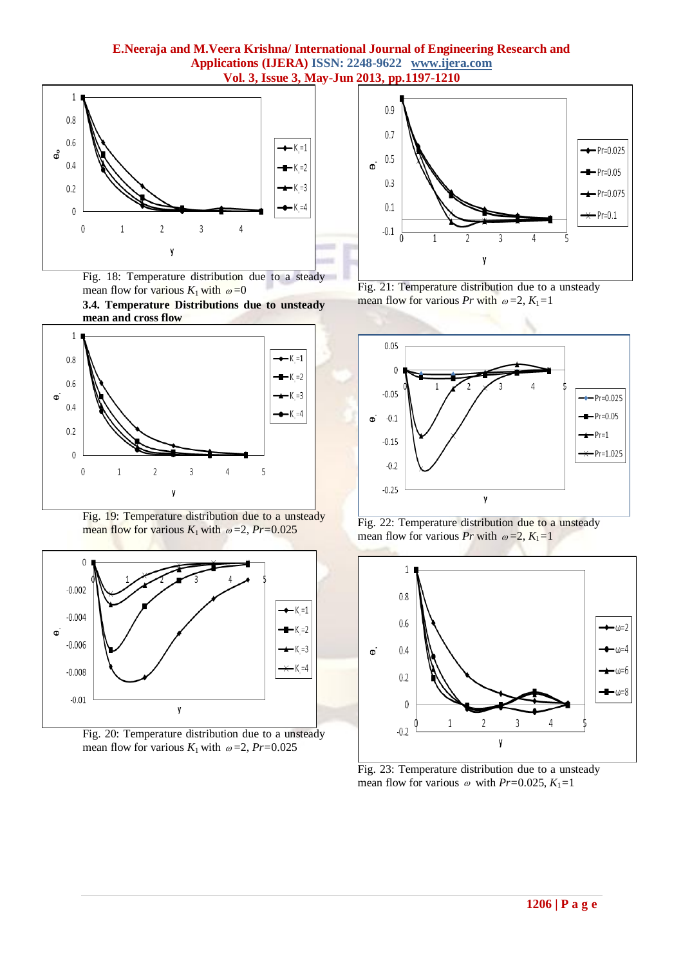

Fig. 18: Temperature distribution due to a steady mean flow for various  $K_1$  with  $\omega = 0$ 

**3.4. Temperature Distributions due to unsteady mean and cross flow**



Fig. 19: Temperature distribution due to a unsteady mean flow for various  $K_1$  with  $\omega = 2$ ,  $Pr=0.025$ 











Fig. 22: Temperature distribution due to a unsteady mean flow for various *Pr* with  $\omega = 2$ ,  $K_1 = 1$ 



Fig. 23: Temperature distribution due to a unsteady mean flow for various  $\omega$  with *Pr*=0.025, *K*<sub>1</sub>=1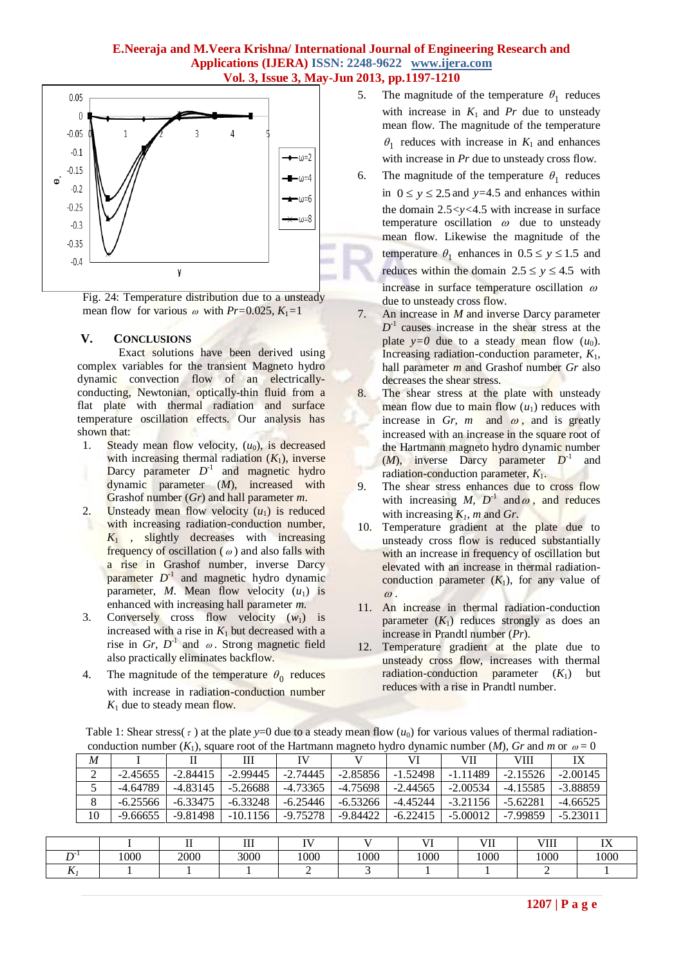

Fig. 24: Temperature distribution due to a unsteady mean flow for various  $\omega$  with *Pr*=0.025,  $K_1$ =1

### **V. CONCLUSIONS**

Exact solutions have been derived using complex variables for the transient Magneto hydro dynamic convection flow of an electricallyconducting, Newtonian, optically-thin fluid from a flat plate with thermal radiation and surface temperature oscillation effects. Our analysis has shown that:

- 1. Steady mean flow velocity,  $(u_0)$ , is decreased with increasing thermal radiation  $(K_1)$ , inverse Darcy parameter  $D^{-1}$  and magnetic hydro dynamic parameter (*M*), increased with Grashof number (*Gr*) and hall parameter *m*.
- 2. Unsteady mean flow velocity  $(u_1)$  is reduced with increasing radiation-conduction number, *K*<sup>1</sup> , slightly decreases with increasing frequency of oscillation ( $\omega$ ) and also falls with a rise in Grashof number, inverse Darcy parameter  $D^{-1}$  and magnetic hydro dynamic parameter, *M*. Mean flow velocity  $(u_1)$  is enhanced with increasing hall parameter *m*.
- 3. Conversely cross flow velocity  $(w_1)$  is increased with a rise in  $K_1$  but decreased with a rise in *Gr*,  $D^{-1}$  and  $\omega$ . Strong magnetic field also practically eliminates backflow.
- 4. The magnitude of the temperature  $\theta_0$  reduces with increase in radiation-conduction number  $K_1$  due to steady mean flow.

 $T = 11.4 \text{ cm}$  stress(s)

- 5. The magnitude of the temperature  $\theta_1$  reduces with increase in  $K_1$  and  $Pr$  due to unsteady mean flow. The magnitude of the temperature  $\theta_1$  reduces with increase in  $K_1$  and enhances with increase in *Pr* due to unsteady cross flow.
- 6. The magnitude of the temperature  $\theta_1$  reduces in  $0 \le y \le 2.5$  and  $y=4.5$  and enhances within the domain 2.5*<y<*4.5 with increase in surface temperature oscillation  $\omega$  due to unsteady mean flow. Likewise the magnitude of the temperature  $\theta_1$  enhances in  $0.5 \le y \le 1.5$  and reduces within the domain  $2.5 \le y \le 4.5$  with increase in surface temperature oscillation  $\omega$ due to unsteady cross flow.
- 7. An increase in *M* and inverse Darcy parameter  $D^{-1}$  causes increase in the shear stress at the plate  $y=0$  due to a steady mean flow  $(u_0)$ . Increasing radiation-conduction parameter, *K*1*,*  hall parameter *m* and Grashof number *Gr* also decreases the shear stress.
- 8. The shear stress at the plate with unsteady mean flow due to main flow  $(u_1)$  reduces with increase in *Gr, m* and  $\omega$ , and is greatly increased with an increase in the square root of the Hartmann magneto hydro dynamic number (*M*), inverse Darcy parameter  $D^{-1}$ and radiation-conduction parameter, *K*1.
- 9. The shear stress enhances due to cross flow with increasing M,  $D^{-1}$  and  $\omega$ , and reduces with increasing  $K_l$ , *m* and *Gr*.
- 10. Temperature gradient at the plate due to unsteady cross flow is reduced substantially with an increase in frequency of oscillation but elevated with an increase in thermal radiationconduction parameter  $(K_1)$ , for any value of  $\omega$ .
- 11. An increase in thermal radiation-conduction parameter  $(K_1)$  reduces strongly as does an increase in Prandtl number (*Pr*).
- 12. Temperature gradient at the plate due to unsteady cross flow, increases with thermal radiation-conduction parameter  $(K_1)$  but reduces with a rise in Prandtl number.

|                                                                                                                       | Table 1: Shear stress( $\tau$ ) at the plate y=0 due to a steady mean flow ( $u_0$ ) for various values of thermal radiation- |  |  |  |  |  |          |  |  |  |
|-----------------------------------------------------------------------------------------------------------------------|-------------------------------------------------------------------------------------------------------------------------------|--|--|--|--|--|----------|--|--|--|
| conduction number $(K_1)$ , square root of the Hartmann magneto hydro dynamic number $(M)$ , Gr and m or $\omega = 0$ |                                                                                                                               |  |  |  |  |  |          |  |  |  |
|                                                                                                                       |                                                                                                                               |  |  |  |  |  | VII VIII |  |  |  |

| M  |            |            | Ш          | IV         |            | VI         | VII        | VIII       | IX         |
|----|------------|------------|------------|------------|------------|------------|------------|------------|------------|
| 2  | $-2.45655$ | $-2.84415$ | $-2.99445$ | $-2.74445$ | $-2.85856$ | $-1.52498$ | $-1.11489$ | $-2.15526$ | $-2.00145$ |
|    | $-4.64789$ | $-4.83145$ | $-5.26688$ | -4.73365   | -4.75698   | $-2.44565$ | $-2.00534$ | $-4.15585$ | $-3.88859$ |
| 8  | $-6.25566$ | $-6.33475$ | $-6.33248$ | $-6.25446$ | $-6.53266$ | $-4.45244$ | $-3.21156$ | $-5.62281$ | $-4.66525$ |
| 10 | $-9.66655$ | $-9.81498$ | $-10.1156$ | -9.75278   | -9.84422   | $-6.22415$ | $-5.00012$ | -7.99859   | $-5.23011$ |
|    |            |            |            |            |            |            |            |            |            |

|         |      |      | <b>TTT</b><br> | -- - |      | T T  | <b>TIT</b><br>VI <sub>1</sub> | VIII | $- - -$<br> |
|---------|------|------|----------------|------|------|------|-------------------------------|------|-------------|
| n-      | 1000 | 2000 | 3000           | 1000 | 1000 | 1000 | 1000                          | 1000 | 1000        |
| - -<br> |      |      |                |      |      |      |                               |      |             |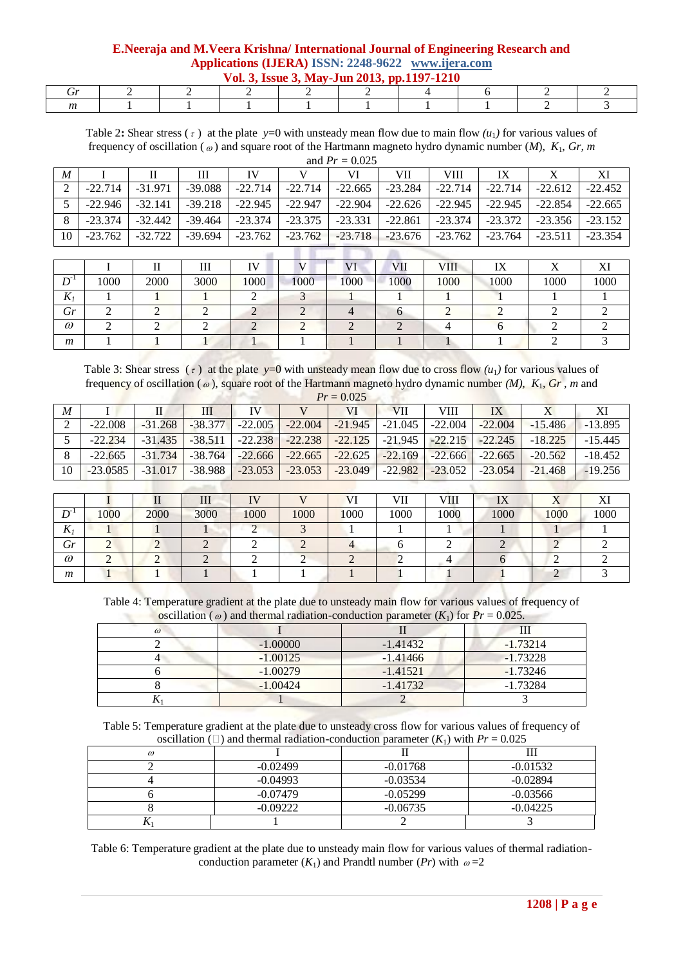**E.Neeraja and M.Veera Krishna/ International Journal of Engineering Research and Applications (IJERA) ISSN: 2248-9622 www.ijera.com Vol. 3, Issue 3, May-Jun 2013, pp.1197-1210**

| $\mathbf{v}$ of $\mathbf{v}$ , issue $\mathbf{v}$ , may -jun $\mathbf{z}$ or $\mathbf{v}$ , pp.1177-1210 |  |  |  |  |  |  |  |  |  |
|----------------------------------------------------------------------------------------------------------|--|--|--|--|--|--|--|--|--|
|                                                                                                          |  |  |  |  |  |  |  |  |  |
|                                                                                                          |  |  |  |  |  |  |  |  |  |

Table 2: Shear stress  $(\tau)$  at the plate *y*=0 with unsteady mean flow due to main flow  $(u_1)$  for various values of frequency of oscillation ( ) and square root of the Hartmann magneto hydro dynamic number (*M*), *K*1, *Gr, m* and *Pr =* 0.025

|          | and $\Gamma r = 0.025$ |           |           |           |           |           |           |           |           |           |           |
|----------|------------------------|-----------|-----------|-----------|-----------|-----------|-----------|-----------|-----------|-----------|-----------|
| M        |                        |           | Ш         | IV        |           | VI        | VII       | VIII      | IX        |           | XI        |
| $\gamma$ | $-22.714$              | $-31.971$ | $-39.088$ | $-22.714$ | $-22.714$ | $-22.665$ | $-23.284$ | $-22.714$ | $-22.714$ | $-22.612$ | $-22.452$ |
|          | $-22.946$              | $-32.141$ | $-39.218$ | $-22.945$ | $-22.947$ | $-22.904$ | $-22.626$ | $-22.945$ | $-22.945$ | $-22.854$ | $-22.665$ |
| 8        | $-23.374$              | $-32.442$ | $-39.464$ | $-23.374$ | $-23.375$ | $-23.331$ | $-22.861$ | $-23.374$ | $-23.372$ | $-23.356$ | $-23.152$ |
| 10       | $-23.762$              | $-32.722$ | $-39.694$ | $-23.762$ | $-23.762$ | $-23.718$ | $-23.676$ | $-23.762$ | $-23.764$ | $-23.511$ | $-23.354$ |
|          |                        |           |           |           |           |           |           |           |           |           |           |

|                              |      |      | Ш    | TT 1 |      |      | <b>VII</b> | <b>VIII</b> | IX   |      |      |
|------------------------------|------|------|------|------|------|------|------------|-------------|------|------|------|
| $\mathbf{D}^{\mathsf{m}}$    | 1000 | 2000 | 3000 | 1000 | 1000 | 1000 | 1000       | 1000        | 1000 | 1000 | 1000 |
| $\mathbf{r}$<br>$\mathbf{v}$ |      |      |      |      |      |      |            |             |      |      |      |
| Gr                           |      |      |      |      |      |      |            |             |      |      |      |
| $\omega$                     |      |      |      |      |      |      |            |             |      |      |      |
| m                            |      |      |      |      |      |      |            |             |      |      |      |

Table 3: Shear stress  $(\tau)$  at the plate  $y=0$  with unsteady mean flow due to cross flow  $(u_1)$  for various values of frequency of oscillation (<sub> $\omega$ </sub>), square root of the Hartmann magneto hydro dynamic number *(M), K<sub>1</sub>, Gr, m* and

|                  | $Pr = 0.025$ |           |           |           |           |           |           |           |           |           |           |
|------------------|--------------|-----------|-----------|-----------|-----------|-----------|-----------|-----------|-----------|-----------|-----------|
| $\boldsymbol{M}$ |              |           | Ш         | IV        |           | VI        | VII       | VIII      | IX        |           | XI        |
| 2                | $-22.008$    | $-31.268$ | $-38.377$ | $-22.005$ | $-22.004$ | $-21.945$ | $-21.045$ | $-22.004$ | $-22.004$ | $-15.486$ | $-13.895$ |
|                  | $-22.234$    | $-31.435$ | $-38.511$ | $-22.238$ | $-22.238$ | $-22.125$ | $-21.945$ | $-22.215$ | $-22.245$ | $-18.225$ | $-15.445$ |
| 8                | $-22.665$    | $-31.734$ | $-38.764$ | $-22.666$ | $-22.665$ | $-22.625$ | $-22.169$ | $-22.666$ | $-22.665$ | $-20.562$ | $-18.452$ |
| 10               | $-23.0585$   | $-31.017$ | $-38.988$ | $-23.053$ | $-23.053$ | $-23.049$ | $-22.982$ | $-23.052$ | $-23.054$ | $-21.468$ | $-19.256$ |
|                  |              |           |           |           |           |           |           |           |           |           |           |

|                                |      |      | 111  | <b>TV</b> |      | $T$ $T$ | <b>VIII</b><br>Ш | VIII | IX   | . .  |      |
|--------------------------------|------|------|------|-----------|------|---------|------------------|------|------|------|------|
| $\mathbf{D}^{\pi}$<br>,,       | 1000 | 2000 | 3000 | 1000      | 1000 | 1000    | 1000             | 1000 | 1000 | 1000 | 1000 |
| $\overline{r}$<br>$\mathbf{v}$ |      |      |      |           |      |         |                  |      |      |      |      |
| Gr                             |      |      |      |           |      |         |                  |      |      |      |      |
| $\omega$                       |      |      |      |           |      |         |                  |      |      |      |      |
| m                              |      |      |      |           |      |         |                  |      |      |      |      |

Table 4: Temperature gradient at the plate due to unsteady main flow for various values of frequency of oscillation ( $\omega$ ) and thermal radiation-conduction parameter ( $K_1$ ) for  $Pr = 0.025$ .

|          |            | $\mathbf{r}$ |            |
|----------|------------|--------------|------------|
| $\omega$ |            |              |            |
|          | $-1.00000$ | $-1.41432$   | $-1.73214$ |
|          | $-1.00125$ | $-1.41466$   | $-1.73228$ |
|          | $-1.00279$ | $-1.41521$   | $-1.73246$ |
|          | $-1.00424$ | $-1.41732$   | $-1.73284$ |
|          |            |              |            |

Table 5: Temperature gradient at the plate due to unsteady cross flow for various values of frequency of oscillation ( $\Box$ ) and thermal radiation-conduction parameter ( $K_1$ ) with  $Pr = 0.025$ 

|                         |            | $\lambda$  |            |
|-------------------------|------------|------------|------------|
| $\omega$                |            |            |            |
|                         | $-0.02499$ | $-0.01768$ | $-0.01532$ |
|                         | $-0.04993$ | $-0.03534$ | $-0.02894$ |
|                         | $-0.07479$ | $-0.05299$ | $-0.03566$ |
|                         | $-0.09222$ | $-0.06735$ | $-0.04225$ |
| $\overline{\mathbf{r}}$ |            |            |            |

Table 6: Temperature gradient at the plate due to unsteady main flow for various values of thermal radiationconduction parameter  $(K_1)$  and Prandtl number  $(Pr)$  with  $\omega = 2$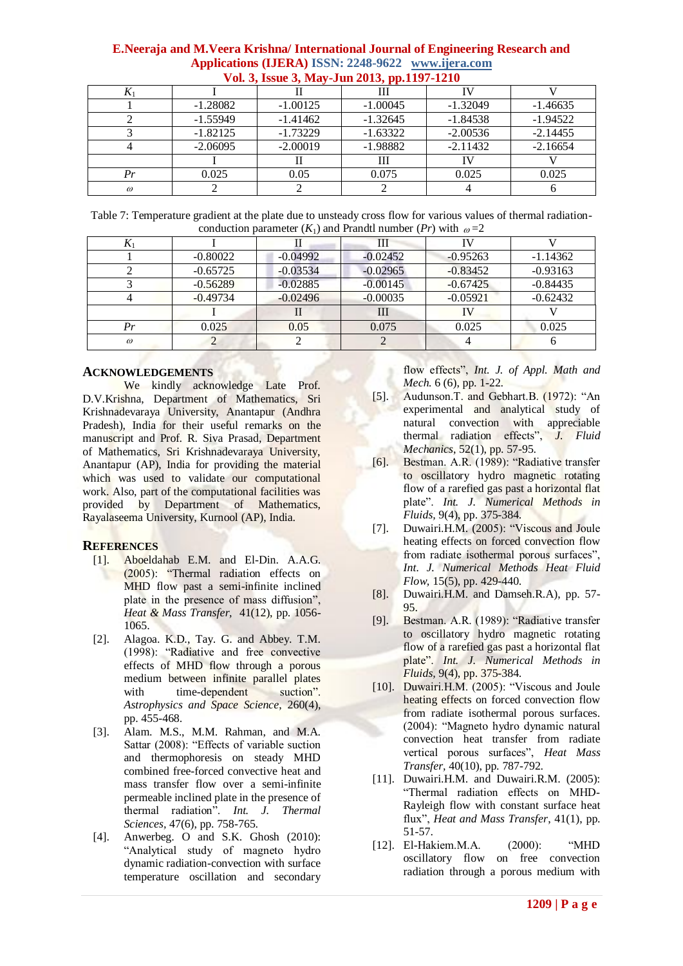|                |            | $\frac{1}{2}$ can be about by really before $\frac{1}{2}$ before $\frac{1}{2}$ and $\frac{1}{2}$ |            |            |            |
|----------------|------------|--------------------------------------------------------------------------------------------------|------------|------------|------------|
| $\mathbf{v}_1$ |            |                                                                                                  | Ш          |            |            |
|                | $-1.28082$ | $-1.00125$                                                                                       | $-1.00045$ | $-1.32049$ | $-1.46635$ |
|                | $-1.55949$ | $-1.41462$                                                                                       | $-1.32645$ | $-1.84538$ | $-1.94522$ |
|                | $-1.82125$ | $-1.73229$                                                                                       | $-1.63322$ | $-2.00536$ | $-2.14455$ |
|                | $-2.06095$ | $-2.00019$                                                                                       | $-1.98882$ | $-2.11432$ | $-2.16654$ |
|                |            |                                                                                                  | Ш          | IV         |            |
| Pr             | 0.025      | 0.05                                                                                             | 0.075      | 0.025      | 0.025      |
| $\omega$       |            |                                                                                                  |            |            |            |

Table 7: Temperature gradient at the plate due to unsteady cross flow for various values of thermal radiationconduction parameter  $(K_1)$  and Prandtl number  $(Pr)$  with  $\omega = 2$ 

| $\mathbf{v}$ |            |            | Ш          |            |            |  |  |  |  |  |  |
|--------------|------------|------------|------------|------------|------------|--|--|--|--|--|--|
|              | $-0.80022$ | $-0.04992$ | $-0.02452$ | $-0.95263$ | $-1.14362$ |  |  |  |  |  |  |
|              | $-0.65725$ | $-0.03534$ | $-0.02965$ | $-0.83452$ | $-0.93163$ |  |  |  |  |  |  |
|              | $-0.56289$ | $-0.02885$ | $-0.00145$ | $-0.67425$ | $-0.84435$ |  |  |  |  |  |  |
|              | $-0.49734$ | $-0.02496$ | $-0.00035$ | $-0.05921$ | $-0.62432$ |  |  |  |  |  |  |
|              |            |            | Ш          | IV         |            |  |  |  |  |  |  |
| Pr           | 0.025      | 0.05       | 0.075      | 0.025      | 0.025      |  |  |  |  |  |  |
| $\omega$     |            |            |            |            |            |  |  |  |  |  |  |

# **ACKNOWLEDGEMENTS**

We kindly acknowledge Late Prof. D.V.Krishna, Department of Mathematics, Sri Krishnadevaraya University, Anantapur (Andhra Pradesh), India for their useful remarks on the manuscript and Prof. R. Siva Prasad, Department of Mathematics, Sri Krishnadevaraya University, Anantapur (AP), India for providing the material which was used to validate our computational work. Also, part of the computational facilities was provided by Department of Mathematics, Rayalaseema University, Kurnool (AP), India.

# **REFERENCES**

- [1]. Aboeldahab E.M. and El-Din. A.A.G. (2005): "Thermal radiation effects on MHD flow past a semi-infinite inclined plate in the presence of mass diffusion", *Heat & Mass Transfer,* 41(12), pp. 1056- 1065.
- [2]. Alagoa. K.D., Tay. G. and Abbey. T.M. (1998): "Radiative and free convective effects of MHD flow through a porous medium between infinite parallel plates with time-dependent suction". *Astrophysics and Space Science*, 260(4), pp. 455-468.
- [3]. Alam. M.S., M.M. Rahman, and M.A. Sattar (2008): "Effects of variable suction and thermophoresis on steady MHD combined free-forced convective heat and mass transfer flow over a semi-infinite permeable inclined plate in the presence of thermal radiation". *Int. J. Thermal Sciences,* 47(6), pp. 758-765.
- [4]. Anwerbeg. O and S.K. Ghosh (2010): "Analytical study of magneto hydro dynamic radiation-convection with surface temperature oscillation and secondary

flow effects", *Int. J. of Appl. Math and Mech.* 6 (6), pp. 1-22.

- [5]. Audunson.T. and Gebhart.B. (1972): "An experimental and analytical study of natural convection with appreciable thermal radiation effects", *J. Fluid Mechanics*, 52(1), pp. 57-95.
- [6]. Bestman. A.R. (1989): "Radiative transfer to oscillatory hydro magnetic rotating flow of a rarefied gas past a horizontal flat plate". *Int. J. Numerical Methods in Fluids,* 9(4), pp. 375-384.
- [7]. Duwairi.H.M. (2005): "Viscous and Joule heating effects on forced convection flow from radiate isothermal porous surfaces", *Int. J. Numerical Methods Heat Fluid Flow,* 15(5), pp. 429-440.
- [8]. Duwairi.H.M. and Damseh.R.A), pp. 57- 95.
- [9]. Bestman. A.R. (1989): "Radiative transfer to oscillatory hydro magnetic rotating flow of a rarefied gas past a horizontal flat plate". *Int. J. Numerical Methods in Fluids,* 9(4), pp. 375-384.
- [10]. Duwairi.H.M. (2005): "Viscous and Joule heating effects on forced convection flow from radiate isothermal porous surfaces. (2004): "Magneto hydro dynamic natural convection heat transfer from radiate vertical porous surfaces", *Heat Mass Transfer,* 40(10), pp. 787-792.
- [11]. Duwairi.H.M. and Duwairi.R.M. (2005): "Thermal radiation effects on MHD-Rayleigh flow with constant surface heat flux", *Heat and Mass Transfer*, 41(1), pp. 51-57.
- [12]. El-Hakiem.M.A. (2000): "MHD oscillatory flow on free convection radiation through a porous medium with